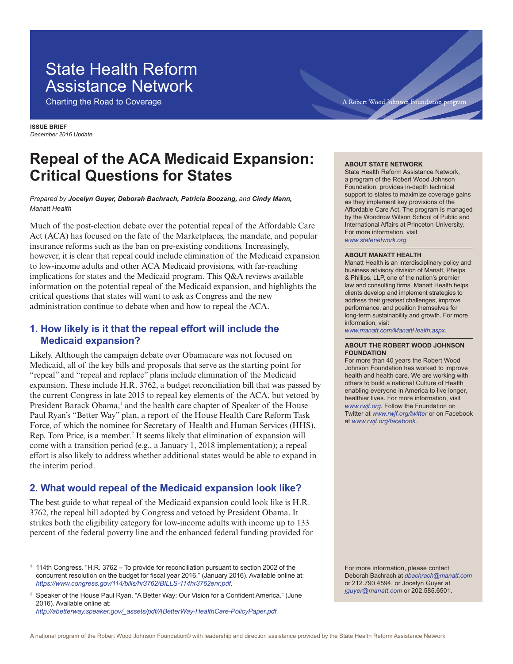# State Health Reform Assistance Network

Charting the Road to Coverage

**ISSUE BRIEF** *December 2016 Update*

# **Repeal of the ACA Medicaid Expansion: Critical Questions for States**

#### *Prepared by Jocelyn Guyer, Deborah Bachrach, Patricia Boozang, and Cindy Mann, Manatt Health*

Much of the post-election debate over the potential repeal of the Affordable Care Act (ACA) has focused on the fate of the Marketplaces, the mandate, and popular insurance reforms such as the ban on pre-existing conditions. Increasingly, however, it is clear that repeal could include elimination of the Medicaid expansion to low-income adults and other ACA Medicaid provisions, with far-reaching implications for states and the Medicaid program. This Q&A reviews available information on the potential repeal of the Medicaid expansion, and highlights the critical questions that states will want to ask as Congress and the new administration continue to debate when and how to repeal the ACA.

### **1. How likely is it that the repeal effort will include the Medicaid expansion?**

Likely. Although the campaign debate over Obamacare was not focused on Medicaid, all of the key bills and proposals that serve as the starting point for "repeal" and "repeal and replace" plans include elimination of the Medicaid expansion. These include H.R. 3762, a budget reconciliation bill that was passed by the current Congress in late 2015 to repeal key elements of the ACA, but vetoed by President Barack Obama,<sup>1</sup> and the health care chapter of Speaker of the House Paul Ryan's "Better Way" plan, a report of the House Health Care Reform Task Force, of which the nominee for Secretary of Health and Human Services (HHS), Rep. Tom Price, is a member.<sup>2</sup> It seems likely that elimination of expansion will come with a transition period (e.g., a January 1, 2018 implementation); a repeal effort is also likely to address whether additional states would be able to expand in the interim period.

### **2. What would repeal of the Medicaid expansion look like?**

The best guide to what repeal of the Medicaid expansion could look like is H.R. 3762, the repeal bill adopted by Congress and vetoed by President Obama. It strikes both the eligibility category for low-income adults with income up to 133 percent of the federal poverty line and the enhanced federal funding provided for

#### **ABOUT STATE NETWORK**

State Health Reform Assistance Network, a program of the Robert Wood Johnson Foundation, provides in-depth technical support to states to maximize coverage gains as they implement key provisions of the Affordable Care Act. The program is managed by the Woodrow Wilson School of Public and International Affairs at Princeton University. For more information, visit *www.statenetwork.org.*

#### **ABOUT MANATT HEALTH**

Manatt Health is an interdisciplinary policy and business advisory division of Manatt, Phelps & Phillips, LLP, one of the nation's premier law and consulting firms. Manatt Health helps clients develop and implement strategies to address their greatest challenges, improve performance, and position themselves for long-term sustainability and growth. For more information, visit

*www.manatt.com/ManattHealth.aspx.*

#### **ABOUT THE ROBERT WOOD JOHNSON FOUNDATION**

For more than 40 years the Robert Wood Johnson Foundation has worked to improve health and health care. We are working with others to build a national Culture of Health enabling everyone in America to live longer, healthier lives. For more information, visit *www.rwjf.org*. Follow the Foundation on Twitter at *www.rwjf.org/twitter* or on Facebook at *www.rwjf.org/facebook*.

For more information, please contact Deborah Bachrach at *dbachrach@manatt.com*  or 212.790.4594, or Jocelyn Guyer at *jguyer@manatt.com* or 202.585.6501.

<sup>1</sup> 114th Congress. "H.R. 3762 – To provide for reconciliation pursuant to section 2002 of the concurrent resolution on the budget for fiscal year 2016." (January 2016). Available online at: *https://www.congress.gov/114/bills/hr3762/BILLS-114hr3762enr.pdf*.

<sup>2</sup> Speaker of the House Paul Ryan. "A Better Way: Our Vision for a Confident America." (June 2016). Available online at: *http://abetterway.speaker.gov/\_assets/pdf/ABetterWay-HealthCare-PolicyPaper.pdf.*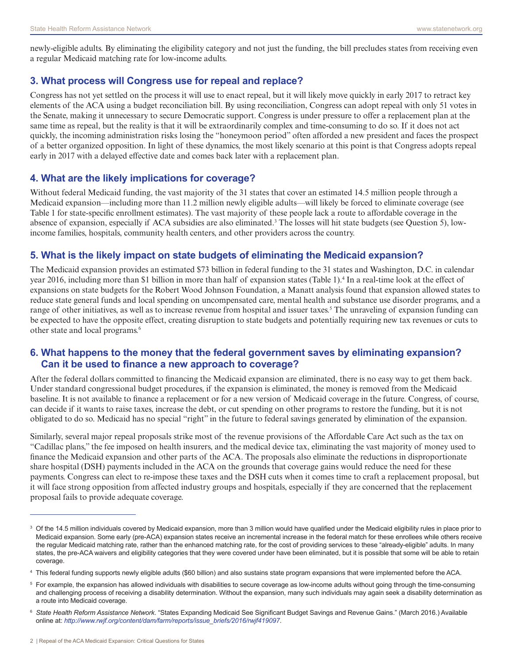newly-eligible adults. By eliminating the eligibility category and not just the funding, the bill precludes states from receiving even a regular Medicaid matching rate for low-income adults.

## **3. What process will Congress use for repeal and replace?**

Congress has not yet settled on the process it will use to enact repeal, but it will likely move quickly in early 2017 to retract key elements of the ACA using a budget reconciliation bill. By using reconciliation, Congress can adopt repeal with only 51 votes in the Senate, making it unnecessary to secure Democratic support. Congress is under pressure to offer a replacement plan at the same time as repeal, but the reality is that it will be extraordinarily complex and time-consuming to do so. If it does not act quickly, the incoming administration risks losing the "honeymoon period" often afforded a new president and faces the prospect of a better organized opposition. In light of these dynamics, the most likely scenario at this point is that Congress adopts repeal early in 2017 with a delayed effective date and comes back later with a replacement plan.

#### **4. What are the likely implications for coverage?**

Without federal Medicaid funding, the vast majority of the 31 states that cover an estimated 14.5 million people through a Medicaid expansion—including more than 11.2 million newly eligible adults—will likely be forced to eliminate coverage (see Table 1 for state-specific enrollment estimates). The vast majority of these people lack a route to affordable coverage in the absence of expansion, especially if ACA subsidies are also eliminated.<sup>3</sup> The losses will hit state budgets (see Question 5), lowincome families, hospitals, community health centers, and other providers across the country.

### **5. What is the likely impact on state budgets of eliminating the Medicaid expansion?**

The Medicaid expansion provides an estimated \$73 billion in federal funding to the 31 states and Washington, D.C. in calendar year 2016, including more than \$1 billion in more than half of expansion states (Table 1).4 In a real-time look at the effect of expansions on state budgets for the Robert Wood Johnson Foundation, a Manatt analysis found that expansion allowed states to reduce state general funds and local spending on uncompensated care, mental health and substance use disorder programs, and a range of other initiatives, as well as to increase revenue from hospital and issuer taxes.<sup>5</sup> The unraveling of expansion funding can be expected to have the opposite effect, creating disruption to state budgets and potentially requiring new tax revenues or cuts to other state and local programs.<sup>6</sup>

#### **6. What happens to the money that the federal government saves by eliminating expansion? Can it be used to finance a new approach to coverage?**

After the federal dollars committed to financing the Medicaid expansion are eliminated, there is no easy way to get them back. Under standard congressional budget procedures, if the expansion is eliminated, the money is removed from the Medicaid baseline. It is not available to finance a replacement or for a new version of Medicaid coverage in the future. Congress, of course, can decide if it wants to raise taxes, increase the debt, or cut spending on other programs to restore the funding, but it is not obligated to do so. Medicaid has no special "right" in the future to federal savings generated by elimination of the expansion.

Similarly, several major repeal proposals strike most of the revenue provisions of the Affordable Care Act such as the tax on "Cadillac plans," the fee imposed on health insurers, and the medical device tax, eliminating the vast majority of money used to finance the Medicaid expansion and other parts of the ACA. The proposals also eliminate the reductions in disproportionate share hospital (DSH) payments included in the ACA on the grounds that coverage gains would reduce the need for these payments. Congress can elect to re-impose these taxes and the DSH cuts when it comes time to craft a replacement proposal, but it will face strong opposition from affected industry groups and hospitals, especially if they are concerned that the replacement proposal fails to provide adequate coverage.

 $3$  Of the 14.5 million individuals covered by Medicaid expansion, more than 3 million would have qualified under the Medicaid eligibility rules in place prior to Medicaid expansion. Some early (pre-ACA) expansion states receive an incremental increase in the federal match for these enrollees while others receive the regular Medicaid matching rate, rather than the enhanced matching rate, for the cost of providing services to these "already-eligible" adults. In many states, the pre-ACA waivers and eligibility categories that they were covered under have been eliminated, but it is possible that some will be able to retain coverage.

<sup>4</sup> This federal funding supports newly eligible adults (\$60 billion) and also sustains state program expansions that were implemented before the ACA.

<sup>5</sup> For example, the expansion has allowed individuals with disabilities to secure coverage as low-income adults without going through the time-consuming and challenging process of receiving a disability determination. Without the expansion, many such individuals may again seek a disability determination as a route into Medicaid coverage.

<sup>6</sup> *State Health Reform Assistance Network*. "States Expanding Medicaid See Significant Budget Savings and Revenue Gains." (March 2016.) Available online at: *http://www.rwjf.org/content/dam/farm/reports/issue\_briefs/2016/rwjf419097*.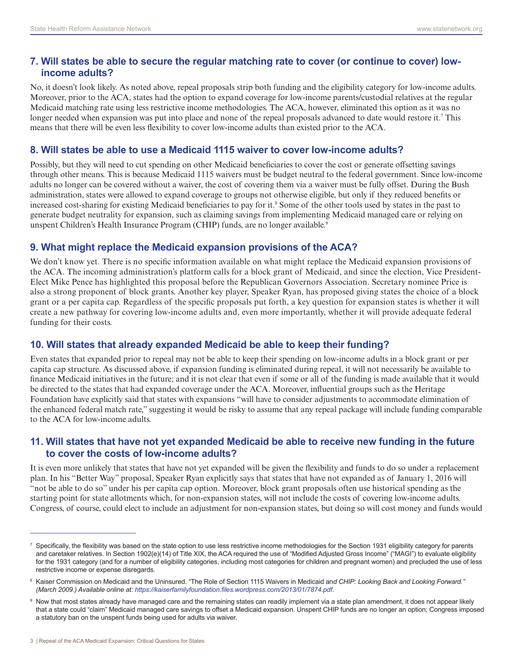#### **7. Will states be able to secure the regular matching rate to cover (or continue to cover) lowincome adults?**

No, it doesn't look likely. As noted above, repeal proposals strip both funding and the eligibility category for low-income adults. Moreover, prior to the ACA, states had the option to expand coverage for low-income parents/custodial relatives at the regular Medicaid matching rate using less restrictive income methodologies. The ACA, however, eliminated this option as it was no longer needed when expansion was put into place and none of the repeal proposals advanced to date would restore it.<sup>7</sup> This means that there will be even less flexibility to cover low-income adults than existed prior to the ACA.

#### **8. Will states be able to use a Medicaid 1115 waiver to cover low-income adults?**

Possibly, but they will need to cut spending on other Medicaid beneficiaries to cover the cost or generate offsetting savings through other means. This is because Medicaid 1115 waivers must be budget neutral to the federal government. Since low-income adults no longer can be covered without a waiver, the cost of covering them via a waiver must be fully offset. During the Bush administration, states were allowed to expand coverage to groups not otherwise eligible, but only if they reduced benefits or increased cost-sharing for existing Medicaid beneficiaries to pay for it.<sup>8</sup> Some of the other tools used by states in the past to generate budget neutrality for expansion, such as claiming savings from implementing Medicaid managed care or relying on unspent Children's Health Insurance Program (CHIP) funds, are no longer available.<sup>9</sup>

#### **9. What might replace the Medicaid expansion provisions of the ACA?**

We don't know yet. There is no specific information available on what might replace the Medicaid expansion provisions of the ACA. The incoming administration's platform calls for a block grant of Medicaid, and since the election, Vice President-Elect Mike Pence has highlighted this proposal before the Republican Governors Association. Secretary nominee Price is also a strong proponent of block grants. Another key player, Speaker Ryan, has proposed giving states the choice of a block grant or a per capita cap. Regardless of the specific proposals put forth, a key question for expansion states is whether it will create a new pathway for covering low-income adults and, even more importantly, whether it will provide adequate federal funding for their costs.

#### **10. Will states that already expanded Medicaid be able to keep their funding?**

Even states that expanded prior to repeal may not be able to keep their spending on low-income adults in a block grant or per capita cap structure. As discussed above, if expansion funding is eliminated during repeal, it will not necessarily be available to finance Medicaid initiatives in the future; and it is not clear that even if some or all of the funding is made available that it would be directed to the states that had expanded coverage under the ACA. Moreover, influential groups such as the Heritage Foundation have explicitly said that states with expansions "will have to consider adjustments to accommodate elimination of the enhanced federal match rate," suggesting it would be risky to assume that any repeal package will include funding comparable to the ACA for low-income adults.

#### **11. Will states that have not yet expanded Medicaid be able to receive new funding in the future to cover the costs of low-income adults?**

It is even more unlikely that states that have not yet expanded will be given the flexibility and funds to do so under a replacement plan. In his "Better Way" proposal, Speaker Ryan explicitly says that states that have not expanded as of January 1, 2016 will "not be able to do so" under his per capita cap option. Moreover, block grant proposals often use historical spending as the starting point for state allotments which, for non-expansion states, will not include the costs of covering low-income adults. Congress, of course, could elect to include an adjustment for non-expansion states, but doing so will cost money and funds would

<sup>7</sup> Specifically, the flexibility was based on the state option to use less restrictive income methodologies for the Section 1931 eligibility category for parents and caretaker relatives. In Section 1902(e)(14) of Title XIX, the ACA required the use of "Modified Adjusted Gross Income" ("MAGI") to evaluate eligibility for the 1931 category (and for a number of eligibility categories, including most categories for children and pregnant women) and precluded the use of less restrictive income or expense disregards.

<sup>&</sup>lt;sup>8</sup> Kaiser Commission on Medicaid and the Uninsured. "The Role of Section 1115 Waivers in Medicaid an*d CHIP: Looking Back and Looking Forward." (March 2009.) Available online at: https://kaiserfamilyfoundation.files.wordpress.com/2013/01/7874.pdf*.

 $^{\circ}$  Now that most states already have managed care and the remaining states can readily implement via a state plan amendment, it does not appear likely that a state could "claim" Medicaid managed care savings to offset a Medicaid expansion. Unspent CHIP funds are no longer an option; Congress imposed a statutory ban on the unspent funds being used for adults via waiver.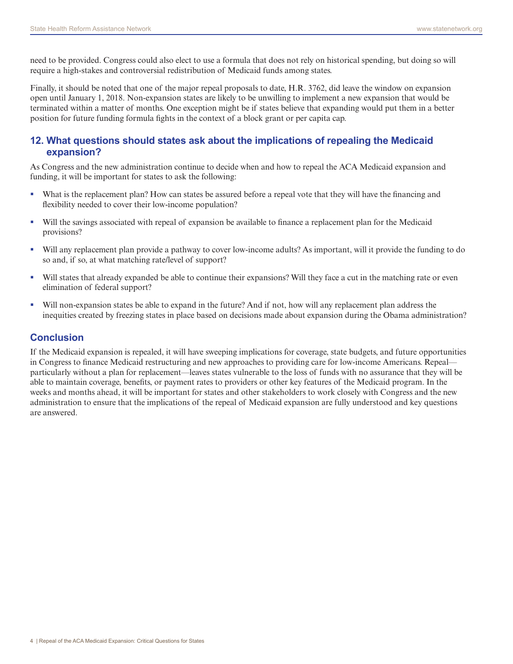need to be provided. Congress could also elect to use a formula that does not rely on historical spending, but doing so will require a high-stakes and controversial redistribution of Medicaid funds among states.

Finally, it should be noted that one of the major repeal proposals to date, H.R. 3762, did leave the window on expansion open until January 1, 2018. Non-expansion states are likely to be unwilling to implement a new expansion that would be terminated within a matter of months. One exception might be if states believe that expanding would put them in a better position for future funding formula fights in the context of a block grant or per capita cap.

### **12. What questions should states ask about the implications of repealing the Medicaid expansion?**

As Congress and the new administration continue to decide when and how to repeal the ACA Medicaid expansion and funding, it will be important for states to ask the following:

- What is the replacement plan? How can states be assured before a repeal vote that they will have the financing and flexibility needed to cover their low-income population?
- Will the savings associated with repeal of expansion be available to finance a replacement plan for the Medicaid provisions?
- Will any replacement plan provide a pathway to cover low-income adults? As important, will it provide the funding to do so and, if so, at what matching rate/level of support?
- Will states that already expanded be able to continue their expansions? Will they face a cut in the matching rate or even elimination of federal support?
- Will non-expansion states be able to expand in the future? And if not, how will any replacement plan address the inequities created by freezing states in place based on decisions made about expansion during the Obama administration?

#### **Conclusion**

If the Medicaid expansion is repealed, it will have sweeping implications for coverage, state budgets, and future opportunities in Congress to finance Medicaid restructuring and new approaches to providing care for low-income Americans. Repeal particularly without a plan for replacement—leaves states vulnerable to the loss of funds with no assurance that they will be able to maintain coverage, benefits, or payment rates to providers or other key features of the Medicaid program. In the weeks and months ahead, it will be important for states and other stakeholders to work closely with Congress and the new administration to ensure that the implications of the repeal of Medicaid expansion are fully understood and key questions are answered.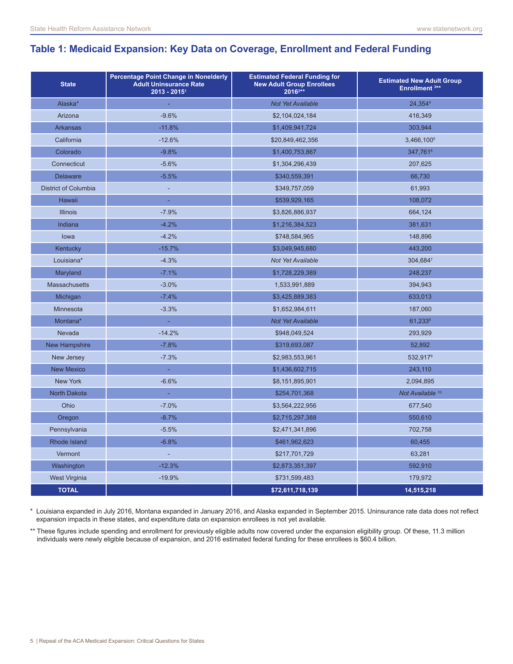## **Table 1: Medicaid Expansion: Key Data on Coverage, Enrollment and Federal Funding**

| <b>State</b>                | Percentage Point Change in Nonelderly<br><b>Adult Uninsurance Rate</b><br>$2013 - 2015$ <sup>1</sup> | <b>Estimated Federal Funding for</b><br><b>New Adult Group Enrollees</b><br>20162** | <b>Estimated New Adult Group</b><br>Enrollment <sup>3**</sup> |
|-----------------------------|------------------------------------------------------------------------------------------------------|-------------------------------------------------------------------------------------|---------------------------------------------------------------|
| Alaska*                     |                                                                                                      | <b>Not Yet Available</b>                                                            | 24.3544                                                       |
| Arizona                     | $-9.6%$                                                                                              | \$2,104,024,184                                                                     | 416,349                                                       |
| <b>Arkansas</b>             | $-11.8%$                                                                                             | \$1,409,941,724                                                                     | 303,944                                                       |
| California                  | $-12.6%$                                                                                             | \$20,849,462,356                                                                    | 3,466,100 <sup>5</sup>                                        |
| Colorado                    | $-9.8%$                                                                                              | \$1,400,753,867                                                                     | 347,7616                                                      |
| Connecticut                 | $-5.6%$                                                                                              | \$1,304,296,439                                                                     | 207,625                                                       |
| <b>Delaware</b>             | $-5.5%$                                                                                              | \$340,559,391                                                                       | 66,730                                                        |
| <b>District of Columbia</b> | ÷,                                                                                                   | \$349,757,059                                                                       | 61,993                                                        |
| Hawaii                      | ä,                                                                                                   | \$539,929,165                                                                       | 108,072                                                       |
| <b>Illinois</b>             | $-7.9%$                                                                                              | \$3,826,886,937                                                                     | 664,124                                                       |
| Indiana                     | $-4.2%$                                                                                              | \$1,216,384,523                                                                     | 381,631                                                       |
| lowa                        | $-4.2%$                                                                                              | \$748,584,965                                                                       | 148,896                                                       |
| Kentucky                    | $-15.7%$                                                                                             | \$3,049,945,680                                                                     | 443,200                                                       |
| Louisiana*                  | $-4.3%$                                                                                              | Not Yet Available                                                                   | 304,6847                                                      |
| Maryland                    | $-7.1%$                                                                                              | \$1,728,229,389                                                                     | 248,237                                                       |
| <b>Massachusetts</b>        | $-3.0%$                                                                                              | 1,533,991,889                                                                       | 394,943                                                       |
| Michigan                    | $-7.4%$                                                                                              | \$3,425,889,383                                                                     | 633,013                                                       |
| Minnesota                   | $-3.3%$                                                                                              | \$1,652,984,611                                                                     | 187,060                                                       |
| Montana*                    | ä,                                                                                                   | <b>Not Yet Available</b>                                                            | 61,2338                                                       |
| Nevada                      | $-14.2%$                                                                                             | \$948,049,524                                                                       | 293,929                                                       |
| <b>New Hampshire</b>        | $-7.8%$                                                                                              | \$319,693,087                                                                       | 52,892                                                        |
| New Jersey                  | $-7.3%$                                                                                              | \$2,983,553,961                                                                     | 532,9179                                                      |
| <b>New Mexico</b>           | ÷.                                                                                                   | \$1,436,602,715                                                                     | 243,110                                                       |
| <b>New York</b>             | $-6.6%$                                                                                              | \$8,151,895,901                                                                     | 2,094,895                                                     |
| <b>North Dakota</b>         | ÷,                                                                                                   | \$254,701,368                                                                       | Not Available 10                                              |
| Ohio                        | $-7.0%$                                                                                              | \$3,564,222,956                                                                     | 677,540                                                       |
| Oregon                      | $-8.7%$                                                                                              | \$2,715,297,388                                                                     | 550,610                                                       |
| Pennsylvania                | $-5.5%$                                                                                              | \$2,471,341,896                                                                     | 702,758                                                       |
| Rhode Island                | $-6.8%$                                                                                              | \$461,962,623                                                                       | 60,455                                                        |
| Vermont                     | $\overline{\phantom{a}}$                                                                             | \$217,701,729                                                                       | 63,281                                                        |
| Washington                  | $-12.3%$                                                                                             | \$2,873,351,397                                                                     | 592,910                                                       |
| <b>West Virginia</b>        | $-19.9%$                                                                                             | \$731,599,483                                                                       | 179,972                                                       |
| <b>TOTAL</b>                |                                                                                                      | \$72,611,718,139                                                                    | 14,515,218                                                    |

\* Louisiana expanded in July 2016, Montana expanded in January 2016, and Alaska expanded in September 2015. Uninsurance rate data does not reflect expansion impacts in these states, and expenditure data on expansion enrollees is not yet available.

\*\* These figures include spending and enrollment for previously eligible adults now covered under the expansion eligibility group. Of these, 11.3 million individuals were newly eligible because of expansion, and 2016 estimated federal funding for these enrollees is \$60.4 billion.